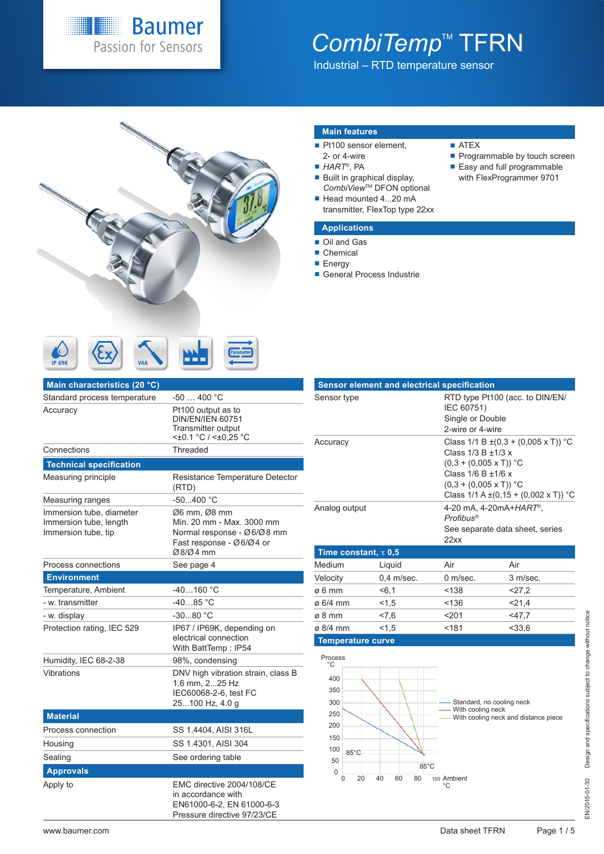### **Baumer** Passion for Sensors

# CombiTemp<sup>™</sup> TFRN

Industrial – RTD temperature sensor



### **Main features**

- Pt100 sensor element,
- 2- or 4-wire ■ *HART*<sup>®</sup>, PA
	-
- $\blacksquare$  Built in graphical display, *CombiView*TM DFON optional Head mounted 4...20 mA
- transmitter, FlexTop type 22xx

### **Applications**

### Oil and Gas

- Chemical
- **Energy**
- General Process Industrie

| Main characteristics (20 °C)                                              |                                                                                                                 |
|---------------------------------------------------------------------------|-----------------------------------------------------------------------------------------------------------------|
| Standard process temperature                                              | $-50400 °C$                                                                                                     |
| Accuracy                                                                  | Pt100 output as to<br><b>DIN/EN/IEN 60751</b><br><b>Transmitter output</b><br><±0.1 °C / <±0,25 °C              |
| Connections                                                               | Threaded                                                                                                        |
| <b>Technical specification</b>                                            |                                                                                                                 |
| Measuring principle                                                       | Resistance Temperature Detector<br>(RTD)                                                                        |
| Measuring ranges                                                          | $-50.400 °C$                                                                                                    |
| Immersion tube, diameter<br>Immersion tube, length<br>Immersion tube, tip | Ø6 mm, Ø8 mm<br>Min. 20 mm - Max. 3000 mm<br>Normal response - Ø6/Ø8 mm<br>Fast response - Ø6/Ø4 or<br>Ø8/Ø4 mm |
| Process connections                                                       | See page 4                                                                                                      |
| <b>Environment</b>                                                        |                                                                                                                 |
| Temperature, Ambient                                                      | $-40160 °C$                                                                                                     |
| - w. transmitter                                                          | $-4085 °C$                                                                                                      |
| - w. display                                                              | $-3080 °C$                                                                                                      |
| Protection rating, IEC 529                                                | IP67 / IP69K, depending on<br>electrical connection<br>With BattTemp: IP54                                      |
| Humidity, IEC 68-2-38                                                     | 98%, condensing                                                                                                 |
| Vibrations                                                                | DNV high vibration strain, class B<br>1.6 mm. 225 Hz<br>IEC60068-2-6, test FC<br>25100 Hz, 4.0 g                |
| <b>Material</b>                                                           |                                                                                                                 |
| Process connection                                                        | SS 1.4404, AISI 316L                                                                                            |
| Housing                                                                   | SS 1.4301, AISI 304                                                                                             |
| Sealing                                                                   | See ordering table                                                                                              |
| <b>Approvals</b>                                                          |                                                                                                                 |
| Apply to                                                                  | EMC directive 2004/108/CE<br>in accordance with<br>EN61000-6-2, EN 61000-6-3<br>Pressure directive 97/23/CE     |

|                                                                                                    | <b>Sensor element and electrical specification</b> |                                                                                                                   |                                                                                                 |  |  |
|----------------------------------------------------------------------------------------------------|----------------------------------------------------|-------------------------------------------------------------------------------------------------------------------|-------------------------------------------------------------------------------------------------|--|--|
| Sensor type                                                                                        |                                                    | IEC 60751)                                                                                                        | RTD type Pt100 (acc. to DIN/EN/<br>Single or Double<br>2-wire or 4-wire                         |  |  |
| Accuracy                                                                                           |                                                    | Class 1/3 B ±1/3 x<br>$(0,3 + (0,005 \times T))$ °C<br>Class $1/6$ B $\pm 1/6$ x<br>$(0,3 + (0,005 \times T))$ °C | Class $1/1 B \pm (0.3 + (0.005 \times T))$ °C<br>Class $1/1 A \pm (0.15 + (0.002 \times T))$ °C |  |  |
| Analog output                                                                                      |                                                    | 4-20 mA, 4-20mA+HART®,<br>Profibus®<br>See separate data sheet, series<br>22xx                                    |                                                                                                 |  |  |
| Time constant, $\tau$ 0,5                                                                          |                                                    |                                                                                                                   |                                                                                                 |  |  |
| Medium                                                                                             | Liquid                                             | Air                                                                                                               | Air                                                                                             |  |  |
| Velocity                                                                                           | $0.4$ m/sec.                                       | 0 m/sec.                                                                                                          | 3 m/sec.                                                                                        |  |  |
| $\varnothing$ 6 mm                                                                                 | < 6.1                                              | < 138                                                                                                             | 27.2                                                                                            |  |  |
| $\varnothing$ 6/4 mm                                                                               | 1,5                                                | <136                                                                                                              | 21,4                                                                                            |  |  |
| ø 8 mm                                                                                             | 27,6                                               | 201                                                                                                               | 47,7                                                                                            |  |  |
| ø 8/4 mm                                                                                           | 1,5                                                | < 181                                                                                                             | 33.6                                                                                            |  |  |
| Temperature curve                                                                                  |                                                    |                                                                                                                   |                                                                                                 |  |  |
| Process<br>°C<br>400<br>350<br>300<br>250<br>200<br>150<br>100<br>$85^{\circ}$ C<br>50<br>$\Omega$ | $85^{\circ}$ C                                     | - With cooling neck                                                                                               | Standard, no cooling neck<br>With cooling neck and distance piece                               |  |  |

0 20 40 60 80 100 Ambient °C

**ATEX** 

Easy and full programmable with FlexProgrammer 9701

**IP 69K**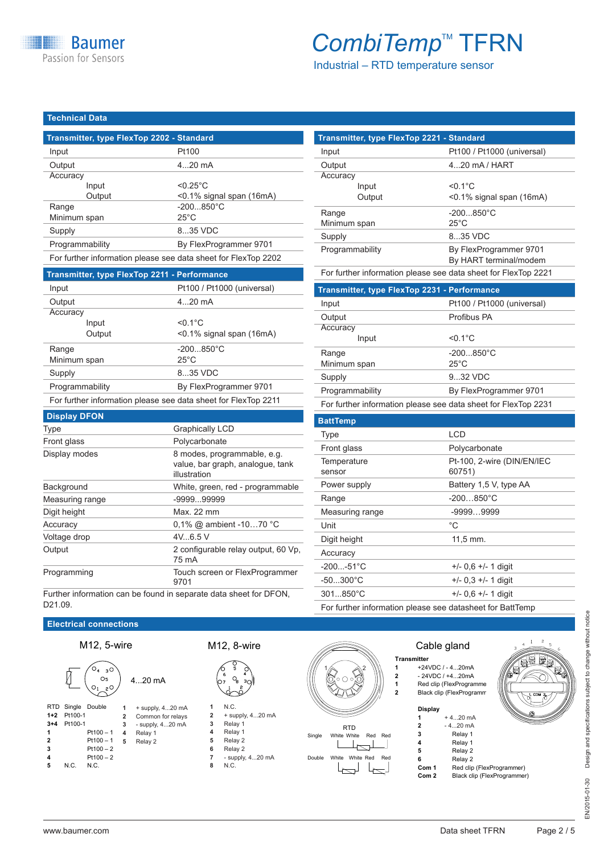Industrial – RTD temperature sensor

**Transmitter, type FlexTop 2221 - Standard**

Input Pt100 / Pt1000 (universal)

Output 4...20 mA / HART

### **Technical Data**

| Transmitter, type FlexTop 2202 - Standard                      |                             |  |
|----------------------------------------------------------------|-----------------------------|--|
| Input                                                          | Pt100                       |  |
| Output                                                         | $420$ mA                    |  |
| Accuracy                                                       |                             |  |
| Input                                                          | $< 0.25$ °C                 |  |
| Output                                                         | $<$ 0.1% signal span (16mA) |  |
| Range                                                          | $-200850^{\circ}$ C         |  |
| Minimum span                                                   | $25^{\circ}$ C              |  |
| Supply                                                         | 8.35 VDC                    |  |
| Programmability                                                | By FlexProgrammer 9701      |  |
| For further information please see data sheet for FlexTop 2202 |                             |  |

| <b>Transmitter, type FlexTop 2211 - Performance</b>            |                             |  |
|----------------------------------------------------------------|-----------------------------|--|
| Input                                                          | Pt100 / Pt1000 (universal)  |  |
| Output                                                         | $420$ mA                    |  |
| Accuracy                                                       |                             |  |
| Input                                                          | $< 0.1$ °C                  |  |
| Output                                                         | $<$ 0.1% signal span (16mA) |  |
| Range                                                          | $-200850^{\circ}$ C         |  |
| Minimum span                                                   | $25^{\circ}$ C              |  |
| Supply                                                         | 835 VDC                     |  |
| Programmability                                                | By FlexProgrammer 9701      |  |
| For further information please see data sheet for FlexTop 2211 |                             |  |

### **Display DFON**

| <b>Type</b>     | <b>Graphically LCD</b>                                                          |
|-----------------|---------------------------------------------------------------------------------|
| Front glass     | Polycarbonate                                                                   |
| Display modes   | 8 modes, programmable, e.g.<br>value, bar graph, analogue, tank<br>illustration |
| Background      | White, green, red - programmable                                                |
| Measuring range | $-999999999$                                                                    |
| Digit height    | Max. 22 mm                                                                      |
| Accuracy        | 0.1% @ ambient -1070 °C                                                         |
| Voltage drop    | 4V.6.5V                                                                         |
| Output          | 2 configurable relay output, 60 Vp.<br>75 mA                                    |
| Programming     | Touch screen or FlexProgrammer<br>9701                                          |

Further information can be found in separate data sheet for DFON, D21.09.

| <b>Electrical connections</b> |
|-------------------------------|
|                               |





**3** Pt100 – 2

|  |  | וו ב, ט−ושווי |  |  |  |
|--|--|---------------|--|--|--|
|  |  |               |  |  |  |







**8** N.C. **8** N.C.



|                | <b>Transmitter</b> |                          |  |
|----------------|--------------------|--------------------------|--|
| 1              |                    | +24VDC / - 420mA         |  |
| $\overline{2}$ |                    | $-24VDC/+420mA$          |  |
| 1              |                    | Red clip (FlexProgramme  |  |
| $\overline{2}$ |                    | Black clip (FlexProgramm |  |
|                | Display            |                          |  |
|                |                    | $+420$ mA                |  |
|                | $\overline{2}$     | $-420$ mA                |  |
|                |                    | Relay 1                  |  |
|                |                    |                          |  |

|       | Relay 1                     |
|-------|-----------------------------|
| 5     | Relay 2                     |
| 6     | Relay 2                     |
| Com 1 | Red clip (FlexProgrammer)   |
| Com 2 | Black clip (FlexProgrammer) |

| Accuracy                                                       |                                                  |
|----------------------------------------------------------------|--------------------------------------------------|
| Input                                                          | $< 0.1$ °C                                       |
| Output                                                         | <0.1% signal span (16mA)                         |
| Range                                                          | $-200850^{\circ}$ C                              |
| Minimum span                                                   | $25^{\circ}$ C                                   |
| Supply                                                         | 835 VDC                                          |
| Programmability                                                | By FlexProgrammer 9701<br>By HART terminal/modem |
| For further information please see data sheet for FlexTop 2221 |                                                  |
| Transmitter, type FlexTop 2231 - Performance                   |                                                  |
| Input                                                          | Pt100 / Pt1000 (universal)                       |
| Output                                                         | Profibus PA                                      |
| Accuracy                                                       |                                                  |
| Input                                                          | $< 0.1$ °C                                       |
| Range                                                          | $-200850^{\circ}$ C                              |
| Minimum span                                                   | $25^{\circ}$ C                                   |
| Supply                                                         | 932 VDC                                          |
| Programmability                                                | By FlexProgrammer 9701                           |
| For further information please see data sheet for FlexTop 2231 |                                                  |
| <b>BattTemp</b>                                                |                                                  |
| <b>Type</b>                                                    | <b>LCD</b>                                       |
| Front glass                                                    | Polycarbonate                                    |
|                                                                |                                                  |

| i iviit ykäss         | i vivuaivviidlu                      |
|-----------------------|--------------------------------------|
| Temperature<br>sensor | Pt-100, 2-wire (DIN/EN/IEC<br>60751) |
| Power supply          | Battery 1,5 V, type AA               |
| Range                 | $-200850^{\circ}$ C                  |
| Measuring range       | $-99999999$                          |
| Unit                  | °C                                   |
| Digit height          | $11.5$ mm.                           |
| Accuracy              |                                      |
| $-200-51^{\circ}C$    | $+/-$ 0.6 $+/-$ 1 digit              |
| $-50300^{\circ}C$     | $+/-$ 0.3 $+/-$ 1 digit              |
| $301850^{\circ}$ C    | $+/-$ 0,6 $+/-$ 1 digit              |
|                       |                                      |

For further information please see datasheet for BattTemp

Cable gland

**4** Pt100 – 2<br>**5** N.C. N.C. **N.C.**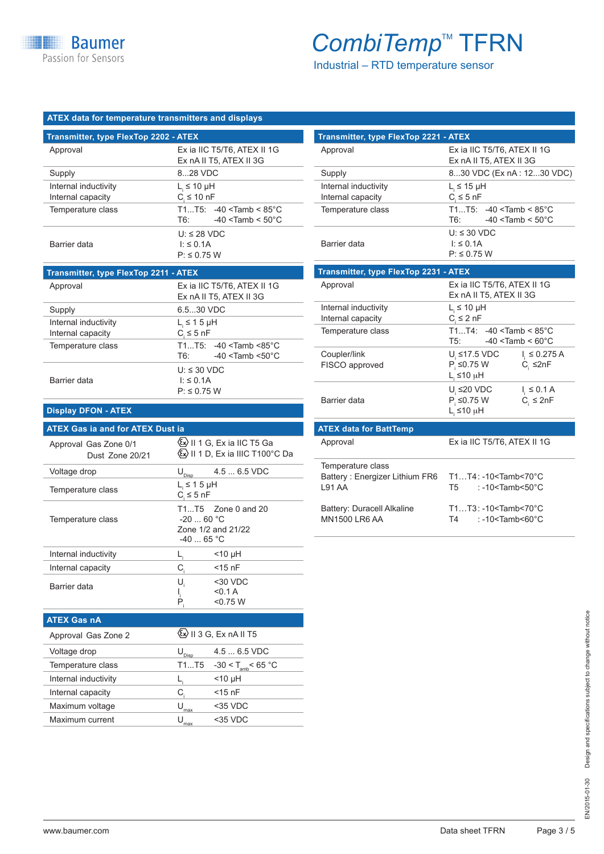Industrial – RTD temperature sensor

### **ATEX data for temperature transmitters and displays**

| Transmitter, type FlexTop 2202 - ATEX     |                                                                        |  |  |
|-------------------------------------------|------------------------------------------------------------------------|--|--|
| Approval                                  | Ex ia IIC T5/T6, ATEX II 1G<br>Ex nA II T5, ATEX II 3G                 |  |  |
| Supply                                    | 828 VDC                                                                |  |  |
| Internal inductivity<br>Internal capacity | $L \leq 10 \mu H$<br>$C \leq 10$ nF                                    |  |  |
| Temperature class                         | $T1T5: -40 <$ Tamb < 85°C<br>$-40 <$ Tamb < 50 $^{\circ}$ C<br>T6:     |  |  |
| Barrier data                              | $U: \leq 28$ VDC<br>$\vert \cdot \vert \leq 0.1$ A<br>$P: \leq 0.75$ W |  |  |

| Transmitter, type FlexTop 2211 - ATEX     |                                                                  |  |
|-------------------------------------------|------------------------------------------------------------------|--|
| Approval                                  | Ex ia IIC T5/T6, ATEX II 1G<br>Ex nA II T5, ATEX II 3G           |  |
| Supply                                    | 6.530 VDC                                                        |  |
| Internal inductivity<br>Internal capacity | $L \leq 1.5$ µH<br>$C \leq 5$ nF                                 |  |
| Temperature class                         | $T1T5: -40 <$ Tamb <85°C<br>$-40 <$ Tamb $< 50^{\circ}$ C<br>T6: |  |
| Barrier data                              | $U: \leq 30$ VDC<br>I: ≤ 0.1A<br>$P: \leq 0.75$ W                |  |

### **Display DFON - ATEX**

### **ATEX Gas ia and for ATEX Dust ia**

| Approval Gas Zone 0/1<br>Dust Zone 20/21 | Ex II 1 G, Ex ia IIC T5 Ga<br>《Ex》 II 1 D, Ex ia IIIC T100°C Da        |
|------------------------------------------|------------------------------------------------------------------------|
| Voltage drop                             | $4.56.5$ VDC<br>$\mathsf{U}_{\underbar{\mathrm{Disp}}}$                |
| Temperature class                        | $L_i \leq 1.5$ µH<br>$C \leq 5$ nF                                     |
| Temperature class                        | $T1T5$ Zone 0 and 20<br>$-2060 °C$<br>Zone 1/2 and 21/22<br>$-4065 °C$ |
| Internal inductivity                     | <10 µH                                                                 |
| Internal capacity                        | C,<br>$<$ 15 nF                                                        |
| Barrier data                             | $30$ VDC<br>U,<br>< 0.1 A<br>ı,<br>P,<br>< 0.75 W                      |
| <b>ATEX Gas nA</b>                       |                                                                        |
| Approval Gas Zone 2                      | <sup>(</sup> ଧଧ∕ II 3 G, Ex nA II T5                                   |

| <b>Transmitter, type FlexTop 2221 - ATEX</b> |                                                                                                   |  |
|----------------------------------------------|---------------------------------------------------------------------------------------------------|--|
| Approval                                     | Ex ia IIC T5/T6, ATEX II 1G<br>Ex nA II T5, ATEX II 3G                                            |  |
| Supply                                       | 830 VDC (Ex nA : 1230 VDC)                                                                        |  |
| Internal inductivity<br>Internal capacity    | $L_s \leq 15$ µH<br>$C_{\rm i} \leq 5$ nF                                                         |  |
| Temperature class                            | $T1T5: -40 <$ Tamb < 85°C<br>$T6: -40 <$ Tamb $< 50^{\circ}$ C                                    |  |
| Barrier data                                 | $U: \leq 30$ VDC<br>$\vert \cdot \vert \leq 0.1$ A<br>$P: \leq 0.75$ W                            |  |
| <b>Transmitter, type FlexTop 2231 - ATEX</b> |                                                                                                   |  |
| Approval                                     | Ex ia IIC T5/T6, ATEX II 1G<br>Ex nA II T5, ATEX II 3G                                            |  |
| Internal inductivity<br>Internal capacity    | $L_i \leq 10 \mu H$<br>$C_i \leq 2 nF$                                                            |  |
| Temperature class                            | $T1T4: -40 <$ Tamb < 85°C<br>$T5:$ $-40 <$ Tamb $< 60^{\circ}$ C                                  |  |
| Coupler/link<br>FISCO approved               | U, ≤17.5 VDC<br>$I_{\rm s} \leq 0.275$ A<br>$P_i \leq 0.75$ W<br>$C_i$ $\leq 2nF$<br>$L_i$ ≤10 μH |  |
| Barrier data                                 | U $≤20$ VDC<br>$I_{1} \leq 0.1 A$<br>$P$ $\leq$ 0.75 W<br>$C_i \leq 2nF$<br>L <sub>,</sub> ≤10 μH |  |
| <b>ATEX data for BattTemp</b>                |                                                                                                   |  |
| Approval                                     | Ex ia IIC T5/T6, ATEX II 1G                                                                       |  |

| Temperature class<br>Battery: Energizer Lithium FR6<br>191 AA | T1T4: -10 <tamb<70°c<br>: -10<tamb<50<math>^{\circ}C<br/>T<sub>5</sub></tamb<50<math></tamb<70°c<br> |
|---------------------------------------------------------------|------------------------------------------------------------------------------------------------------|
| Battery: Duracell Alkaline<br><b>MN1500 LR6 AA</b>            | $T1T3: -10<$ Tamb<70 $^{\circ}$ C<br>: -10 <tamb<60<math>^{\circ}C<br/>T4 =</tamb<60<math>           |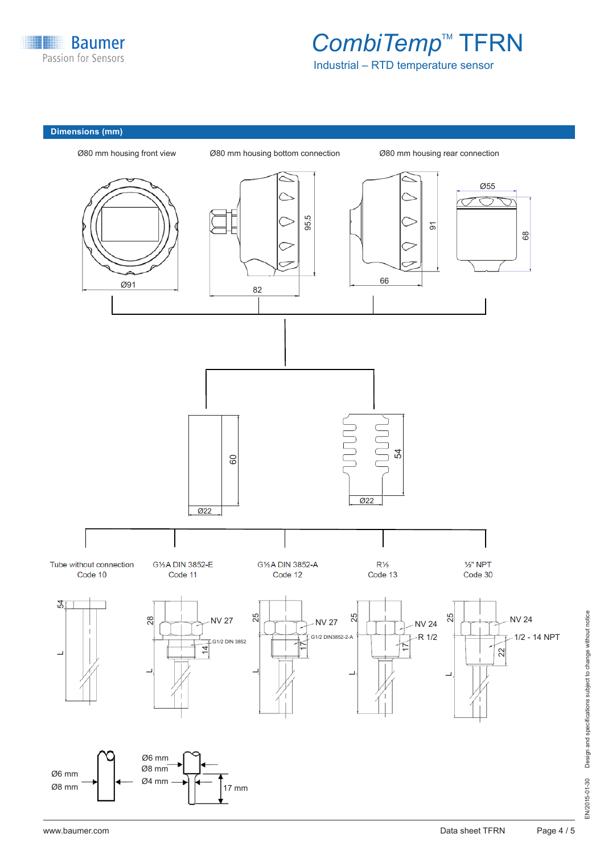

Industrial – RTD temperature sensor

### **Dimensions (mm)**